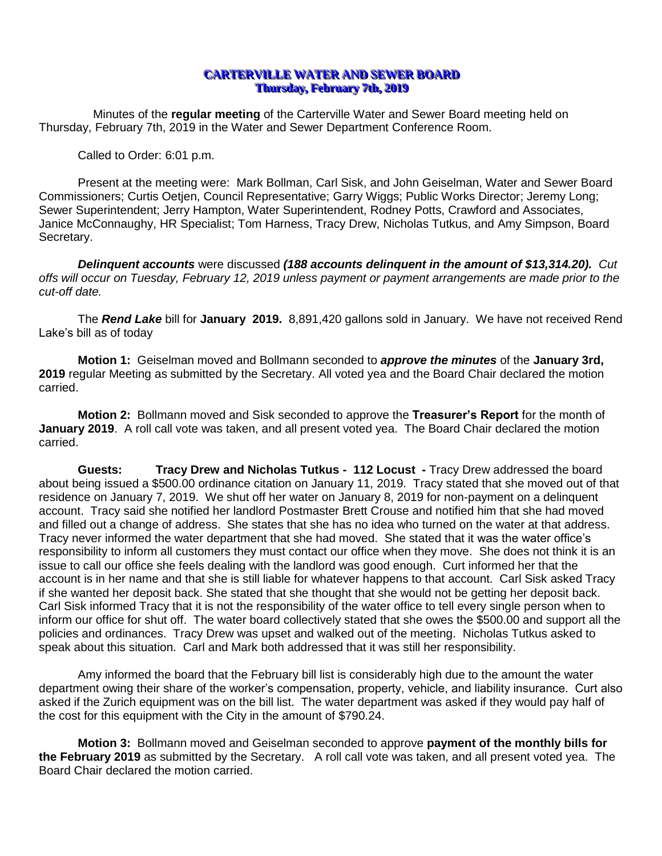## **CARTERVILLE WATER AND SEWER BOARD Thursday, February 7th, 2019**

Minutes of the **regular meeting** of the Carterville Water and Sewer Board meeting held on Thursday, February 7th, 2019 in the Water and Sewer Department Conference Room.

Called to Order: 6:01 p.m.

Present at the meeting were: Mark Bollman, Carl Sisk, and John Geiselman, Water and Sewer Board Commissioners; Curtis Oetjen, Council Representative; Garry Wiggs; Public Works Director; Jeremy Long; Sewer Superintendent; Jerry Hampton, Water Superintendent, Rodney Potts, Crawford and Associates, Janice McConnaughy, HR Specialist; Tom Harness, Tracy Drew, Nicholas Tutkus, and Amy Simpson, Board Secretary.

*Delinquent accounts* were discussed *(188 accounts delinquent in the amount of \$13,314.20). Cut offs will occur on Tuesday, February 12, 2019 unless payment or payment arrangements are made prior to the cut-off date.*

The *Rend Lake* bill for **January 2019.** 8,891,420 gallons sold in January. We have not received Rend Lake's bill as of today

**Motion 1:** Geiselman moved and Bollmann seconded to *approve the minutes* of the **January 3rd,**  2019 regular Meeting as submitted by the Secretary. All voted yea and the Board Chair declared the motion carried.

**Motion 2:** Bollmann moved and Sisk seconded to approve the **Treasurer's Report** for the month of **January 2019**. A roll call vote was taken, and all present voted yea. The Board Chair declared the motion carried.

**Guests: Tracy Drew and Nicholas Tutkus - 112 Locust -** Tracy Drew addressed the board about being issued a \$500.00 ordinance citation on January 11, 2019. Tracy stated that she moved out of that residence on January 7, 2019. We shut off her water on January 8, 2019 for non-payment on a delinquent account. Tracy said she notified her landlord Postmaster Brett Crouse and notified him that she had moved and filled out a change of address. She states that she has no idea who turned on the water at that address. Tracy never informed the water department that she had moved. She stated that it was the water office's responsibility to inform all customers they must contact our office when they move. She does not think it is an issue to call our office she feels dealing with the landlord was good enough. Curt informed her that the account is in her name and that she is still liable for whatever happens to that account. Carl Sisk asked Tracy if she wanted her deposit back. She stated that she thought that she would not be getting her deposit back. Carl Sisk informed Tracy that it is not the responsibility of the water office to tell every single person when to inform our office for shut off. The water board collectively stated that she owes the \$500.00 and support all the policies and ordinances. Tracy Drew was upset and walked out of the meeting. Nicholas Tutkus asked to speak about this situation. Carl and Mark both addressed that it was still her responsibility.

Amy informed the board that the February bill list is considerably high due to the amount the water department owing their share of the worker's compensation, property, vehicle, and liability insurance. Curt also asked if the Zurich equipment was on the bill list. The water department was asked if they would pay half of the cost for this equipment with the City in the amount of \$790.24.

**Motion 3:** Bollmann moved and Geiselman seconded to approve **payment of the monthly bills for the February 2019** as submitted by the Secretary. A roll call vote was taken, and all present voted yea. The Board Chair declared the motion carried.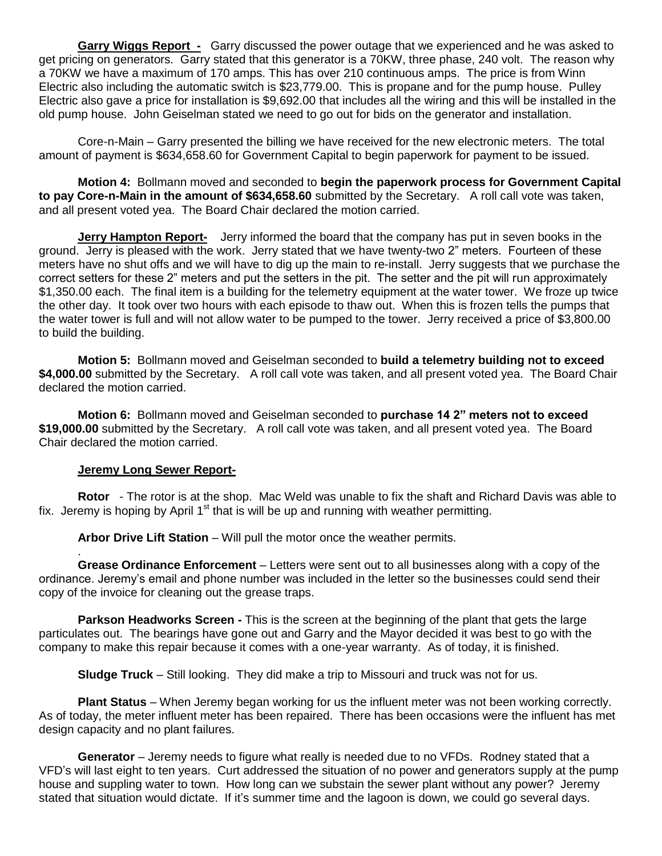**Garry Wiggs Report -** Garry discussed the power outage that we experienced and he was asked to get pricing on generators. Garry stated that this generator is a 70KW, three phase, 240 volt. The reason why a 70KW we have a maximum of 170 amps. This has over 210 continuous amps. The price is from Winn Electric also including the automatic switch is \$23,779.00. This is propane and for the pump house. Pulley Electric also gave a price for installation is \$9,692.00 that includes all the wiring and this will be installed in the old pump house. John Geiselman stated we need to go out for bids on the generator and installation.

Core-n-Main – Garry presented the billing we have received for the new electronic meters. The total amount of payment is \$634,658.60 for Government Capital to begin paperwork for payment to be issued.

**Motion 4:** Bollmann moved and seconded to **begin the paperwork process for Government Capital to pay Core-n-Main in the amount of \$634,658.60** submitted by the Secretary. A roll call vote was taken, and all present voted yea. The Board Chair declared the motion carried.

**Jerry Hampton Report-** Jerry informed the board that the company has put in seven books in the ground. Jerry is pleased with the work. Jerry stated that we have twenty-two 2" meters. Fourteen of these meters have no shut offs and we will have to dig up the main to re-install. Jerry suggests that we purchase the correct setters for these 2" meters and put the setters in the pit. The setter and the pit will run approximately \$1,350.00 each. The final item is a building for the telemetry equipment at the water tower. We froze up twice the other day. It took over two hours with each episode to thaw out. When this is frozen tells the pumps that the water tower is full and will not allow water to be pumped to the tower. Jerry received a price of \$3,800.00 to build the building.

**Motion 5:** Bollmann moved and Geiselman seconded to **build a telemetry building not to exceed \$4,000.00** submitted by the Secretary. A roll call vote was taken, and all present voted yea. The Board Chair declared the motion carried.

**Motion 6:** Bollmann moved and Geiselman seconded to **purchase 14 2" meters not to exceed \$19,000.00** submitted by the Secretary. A roll call vote was taken, and all present voted yea. The Board Chair declared the motion carried.

## **Jeremy Long Sewer Report-**

.

**Rotor** - The rotor is at the shop. Mac Weld was unable to fix the shaft and Richard Davis was able to fix. Jeremy is hoping by April  $1<sup>st</sup>$  that is will be up and running with weather permitting.

**Arbor Drive Lift Station** – Will pull the motor once the weather permits.

**Grease Ordinance Enforcement** – Letters were sent out to all businesses along with a copy of the ordinance. Jeremy's email and phone number was included in the letter so the businesses could send their copy of the invoice for cleaning out the grease traps.

**Parkson Headworks Screen -** This is the screen at the beginning of the plant that gets the large particulates out. The bearings have gone out and Garry and the Mayor decided it was best to go with the company to make this repair because it comes with a one-year warranty. As of today, it is finished.

**Sludge Truck** – Still looking. They did make a trip to Missouri and truck was not for us.

**Plant Status** – When Jeremy began working for us the influent meter was not been working correctly. As of today, the meter influent meter has been repaired. There has been occasions were the influent has met design capacity and no plant failures.

**Generator** – Jeremy needs to figure what really is needed due to no VFDs. Rodney stated that a VFD's will last eight to ten years. Curt addressed the situation of no power and generators supply at the pump house and suppling water to town. How long can we substain the sewer plant without any power? Jeremy stated that situation would dictate. If it's summer time and the lagoon is down, we could go several days.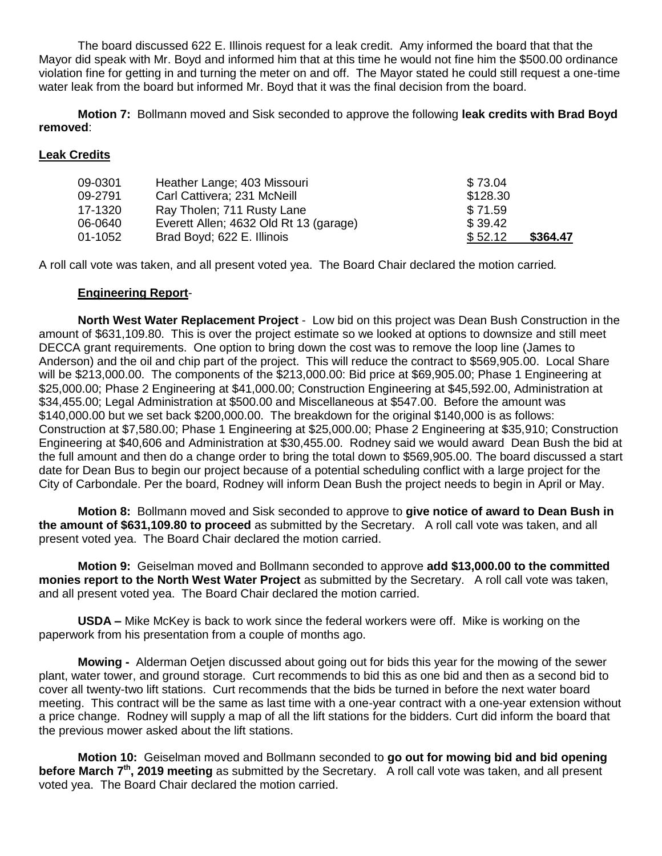The board discussed 622 E. Illinois request for a leak credit. Amy informed the board that that the Mayor did speak with Mr. Boyd and informed him that at this time he would not fine him the \$500.00 ordinance violation fine for getting in and turning the meter on and off. The Mayor stated he could still request a one-time water leak from the board but informed Mr. Boyd that it was the final decision from the board.

**Motion 7:** Bollmann moved and Sisk seconded to approve the following **leak credits with Brad Boyd removed**:

## **Leak Credits**

| 09-0301 | Heather Lange; 403 Missouri            | \$73.04  |          |
|---------|----------------------------------------|----------|----------|
| 09-2791 | Carl Cattivera; 231 McNeill            | \$128.30 |          |
| 17-1320 | Ray Tholen; 711 Rusty Lane             | \$71.59  |          |
| 06-0640 | Everett Allen; 4632 Old Rt 13 (garage) | \$39.42  |          |
| 01-1052 | Brad Boyd; 622 E. Illinois             | \$52.12  | \$364.47 |

A roll call vote was taken, and all present voted yea. The Board Chair declared the motion carried*.*

## **Engineering Report**-

**North West Water Replacement Project** - Low bid on this project was Dean Bush Construction in the amount of \$631,109.80. This is over the project estimate so we looked at options to downsize and still meet DECCA grant requirements. One option to bring down the cost was to remove the loop line (James to Anderson) and the oil and chip part of the project. This will reduce the contract to \$569,905.00. Local Share will be \$213,000.00. The components of the \$213,000.00: Bid price at \$69,905.00; Phase 1 Engineering at \$25,000.00; Phase 2 Engineering at \$41,000.00; Construction Engineering at \$45,592.00, Administration at \$34,455.00; Legal Administration at \$500.00 and Miscellaneous at \$547.00. Before the amount was \$140,000.00 but we set back \$200,000.00. The breakdown for the original \$140,000 is as follows: Construction at \$7,580.00; Phase 1 Engineering at \$25,000.00; Phase 2 Engineering at \$35,910; Construction Engineering at \$40,606 and Administration at \$30,455.00. Rodney said we would award Dean Bush the bid at the full amount and then do a change order to bring the total down to \$569,905.00. The board discussed a start date for Dean Bus to begin our project because of a potential scheduling conflict with a large project for the City of Carbondale. Per the board, Rodney will inform Dean Bush the project needs to begin in April or May.

**Motion 8:** Bollmann moved and Sisk seconded to approve to **give notice of award to Dean Bush in the amount of \$631,109.80 to proceed** as submitted by the Secretary. A roll call vote was taken, and all present voted yea. The Board Chair declared the motion carried.

**Motion 9:** Geiselman moved and Bollmann seconded to approve **add \$13,000.00 to the committed monies report to the North West Water Project** as submitted by the Secretary. A roll call vote was taken, and all present voted yea. The Board Chair declared the motion carried.

**USDA –** Mike McKey is back to work since the federal workers were off. Mike is working on the paperwork from his presentation from a couple of months ago.

**Mowing -** Alderman Oetjen discussed about going out for bids this year for the mowing of the sewer plant, water tower, and ground storage. Curt recommends to bid this as one bid and then as a second bid to cover all twenty-two lift stations. Curt recommends that the bids be turned in before the next water board meeting. This contract will be the same as last time with a one-year contract with a one-year extension without a price change. Rodney will supply a map of all the lift stations for the bidders. Curt did inform the board that the previous mower asked about the lift stations.

**Motion 10:** Geiselman moved and Bollmann seconded to **go out for mowing bid and bid opening before March 7<sup>th</sup>, 2019 meeting** as submitted by the Secretary. A roll call vote was taken, and all present voted yea. The Board Chair declared the motion carried.